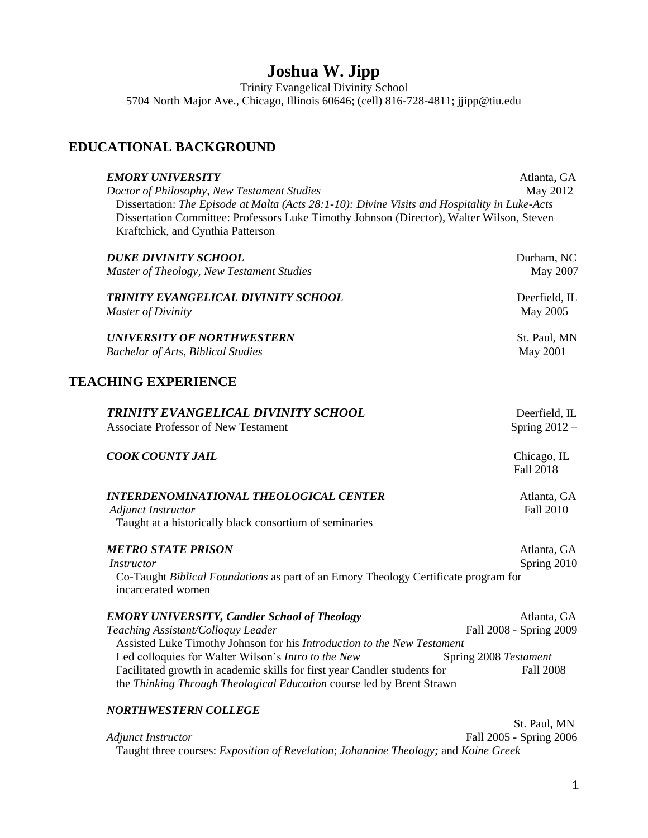# **Joshua W. Jipp**

Trinity Evangelical Divinity School 5704 North Major Ave., Chicago, Illinois 60646; (cell) 816-728-4811; jjipp@tiu.edu

## **EDUCATIONAL BACKGROUND**

| <b>EMORY UNIVERSITY</b><br>Doctor of Philosophy, New Testament Studies<br>Dissertation: The Episode at Malta (Acts 28:1-10): Divine Visits and Hospitality in Luke-Acts<br>Dissertation Committee: Professors Luke Timothy Johnson (Director), Walter Wilson, Steven<br>Kraftchick, and Cynthia Patterson | Atlanta, GA<br>May 2012          |
|-----------------------------------------------------------------------------------------------------------------------------------------------------------------------------------------------------------------------------------------------------------------------------------------------------------|----------------------------------|
| <b>DUKE DIVINITY SCHOOL</b><br>Master of Theology, New Testament Studies                                                                                                                                                                                                                                  | Durham, NC<br>May 2007           |
| TRINITY EVANGELICAL DIVINITY SCHOOL<br><b>Master of Divinity</b>                                                                                                                                                                                                                                          | Deerfield, IL<br>May 2005        |
| <b>UNIVERSITY OF NORTHWESTERN</b><br><b>Bachelor of Arts, Biblical Studies</b>                                                                                                                                                                                                                            | St. Paul, MN<br><b>May 2001</b>  |
| <b>TEACHING EXPERIENCE</b>                                                                                                                                                                                                                                                                                |                                  |
| TRINITY EVANGELICAL DIVINITY SCHOOL<br><b>Associate Professor of New Testament</b>                                                                                                                                                                                                                        | Deerfield, IL<br>Spring $2012 -$ |
| <b>COOK COUNTY JAIL</b>                                                                                                                                                                                                                                                                                   | Chicago, IL<br><b>Fall 2018</b>  |
| <b>INTERDENOMINATIONAL THEOLOGICAL CENTER</b><br><b>Adjunct Instructor</b><br>Taught at a historically black consortium of seminaries                                                                                                                                                                     | Atlanta, GA<br><b>Fall 2010</b>  |
| <b>METRO STATE PRISON</b><br><i>Instructor</i><br>Co-Taught Biblical Foundations as part of an Emory Theology Certificate program for<br>incarcerated women                                                                                                                                               | Atlanta, GA<br>Spring 2010       |

| <b>EMORY UNIVERSITY, Candler School of Theology</b>                       | Atlanta, GA             |
|---------------------------------------------------------------------------|-------------------------|
| Teaching Assistant/Colloguy Leader                                        | Fall 2008 - Spring 2009 |
| Assisted Luke Timothy Johnson for his Introduction to the New Testament   |                         |
| Led colloquies for Walter Wilson's Intro to the New                       | Spring 2008 Testament   |
| Facilitated growth in academic skills for first year Candler students for | Fall 2008               |
| the Thinking Through Theological Education course led by Brent Strawn     |                         |

## *NORTHWESTERN COLLEGE*

 St. Paul, MN *Adjunct Instructor* Fall 2005 - Spring 2006 Taught three courses: *Exposition of Revelation*; *Johannine Theology;* and *Koine Greek*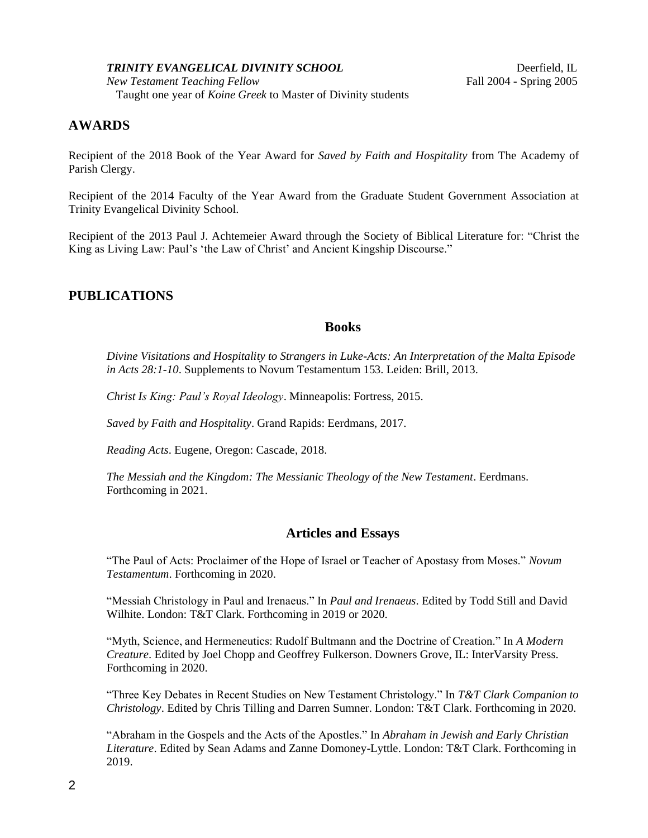#### *TRINITY EVANGELICAL DIVINITY SCHOOL* Deerfield, IL

*New Testament Teaching Fellow* Fall 2004 - Spring 2005 Taught one year of *Koine Greek* to Master of Divinity students

# **AWARDS**

Recipient of the 2018 Book of the Year Award for *Saved by Faith and Hospitality* from The Academy of Parish Clergy.

Recipient of the 2014 Faculty of the Year Award from the Graduate Student Government Association at Trinity Evangelical Divinity School.

Recipient of the 2013 Paul J. Achtemeier Award through the Society of Biblical Literature for: "Christ the King as Living Law: Paul's 'the Law of Christ' and Ancient Kingship Discourse."

## **PUBLICATIONS**

#### **Books**

*Divine Visitations and Hospitality to Strangers in Luke-Acts: An Interpretation of the Malta Episode in Acts 28:1-10*. Supplements to Novum Testamentum 153. Leiden: Brill, 2013.

*Christ Is King: Paul's Royal Ideology*. Minneapolis: Fortress, 2015.

*Saved by Faith and Hospitality*. Grand Rapids: Eerdmans, 2017.

*Reading Acts*. Eugene, Oregon: Cascade, 2018.

*The Messiah and the Kingdom: The Messianic Theology of the New Testament*. Eerdmans. Forthcoming in 2021.

### **Articles and Essays**

"The Paul of Acts: Proclaimer of the Hope of Israel or Teacher of Apostasy from Moses." *Novum Testamentum*. Forthcoming in 2020.

"Messiah Christology in Paul and Irenaeus." In *Paul and Irenaeus*. Edited by Todd Still and David Wilhite. London: T&T Clark. Forthcoming in 2019 or 2020.

"Myth, Science, and Hermeneutics: Rudolf Bultmann and the Doctrine of Creation." In *A Modern Creature*. Edited by Joel Chopp and Geoffrey Fulkerson. Downers Grove, IL: InterVarsity Press. Forthcoming in 2020.

"Three Key Debates in Recent Studies on New Testament Christology." In *T&T Clark Companion to Christology*. Edited by Chris Tilling and Darren Sumner. London: T&T Clark. Forthcoming in 2020.

"Abraham in the Gospels and the Acts of the Apostles." In *Abraham in Jewish and Early Christian Literature*. Edited by Sean Adams and Zanne Domoney-Lyttle. London: T&T Clark. Forthcoming in 2019.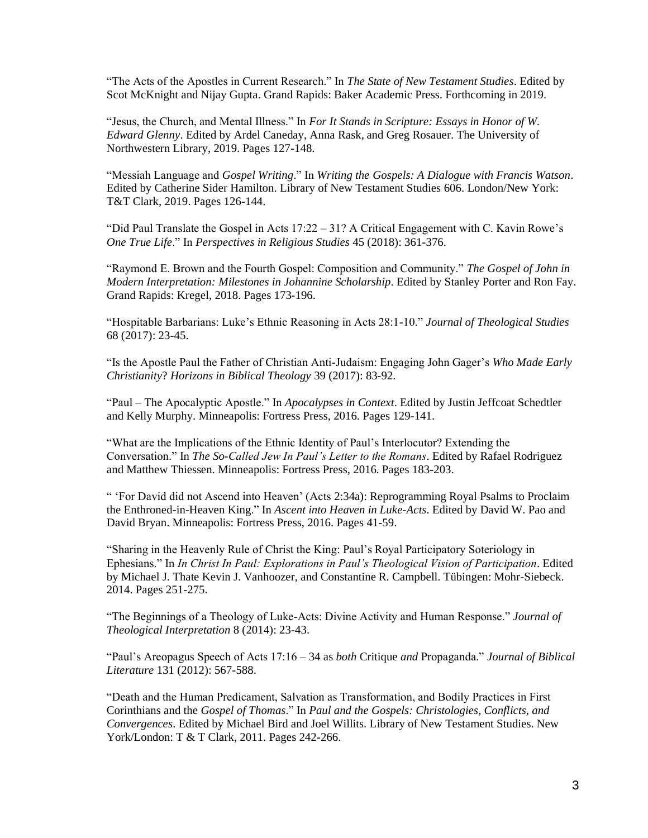"The Acts of the Apostles in Current Research." In *The State of New Testament Studies*. Edited by Scot McKnight and Nijay Gupta. Grand Rapids: Baker Academic Press. Forthcoming in 2019.

"Jesus, the Church, and Mental Illness." In *For It Stands in Scripture: Essays in Honor of W. Edward Glenny*. Edited by Ardel Caneday, Anna Rask, and Greg Rosauer. The University of Northwestern Library, 2019. Pages 127-148.

"Messiah Language and *Gospel Writing*." In *Writing the Gospels: A Dialogue with Francis Watson*. Edited by Catherine Sider Hamilton. Library of New Testament Studies 606. London/New York: T&T Clark, 2019. Pages 126-144.

"Did Paul Translate the Gospel in Acts 17:22 – 31? A Critical Engagement with C. Kavin Rowe's *One True Life*." In *Perspectives in Religious Studies* 45 (2018): 361-376.

"Raymond E. Brown and the Fourth Gospel: Composition and Community." *The Gospel of John in Modern Interpretation: Milestones in Johannine Scholarship*. Edited by Stanley Porter and Ron Fay. Grand Rapids: Kregel, 2018. Pages 173-196.

"Hospitable Barbarians: Luke's Ethnic Reasoning in Acts 28:1-10." *Journal of Theological Studies* 68 (2017): 23-45.

"Is the Apostle Paul the Father of Christian Anti-Judaism: Engaging John Gager's *Who Made Early Christianity*? *Horizons in Biblical Theology* 39 (2017): 83-92.

"Paul – The Apocalyptic Apostle." In *Apocalypses in Context*. Edited by Justin Jeffcoat Schedtler and Kelly Murphy. Minneapolis: Fortress Press, 2016. Pages 129-141.

"What are the Implications of the Ethnic Identity of Paul's Interlocutor? Extending the Conversation." In *The So-Called Jew In Paul's Letter to the Romans*. Edited by Rafael Rodriguez and Matthew Thiessen. Minneapolis: Fortress Press, 2016. Pages 183-203.

" 'For David did not Ascend into Heaven' (Acts 2:34a): Reprogramming Royal Psalms to Proclaim the Enthroned-in-Heaven King." In *Ascent into Heaven in Luke-Acts*. Edited by David W. Pao and David Bryan. Minneapolis: Fortress Press, 2016. Pages 41-59.

"Sharing in the Heavenly Rule of Christ the King: Paul's Royal Participatory Soteriology in Ephesians." In *In Christ In Paul: Explorations in Paul's Theological Vision of Participation*. Edited by Michael J. Thate Kevin J. Vanhoozer, and Constantine R. Campbell. Tübingen: Mohr-Siebeck. 2014. Pages 251-275.

"The Beginnings of a Theology of Luke-Acts: Divine Activity and Human Response." *Journal of Theological Interpretation* 8 (2014): 23-43.

"Paul's Areopagus Speech of Acts 17:16 – 34 as *both* Critique *and* Propaganda." *Journal of Biblical Literature* 131 (2012): 567-588.

"Death and the Human Predicament, Salvation as Transformation, and Bodily Practices in First Corinthians and the *Gospel of Thomas*." In *Paul and the Gospels: Christologies, Conflicts, and Convergences*. Edited by Michael Bird and Joel Willits. Library of New Testament Studies. New York/London: T & T Clark, 2011. Pages 242-266.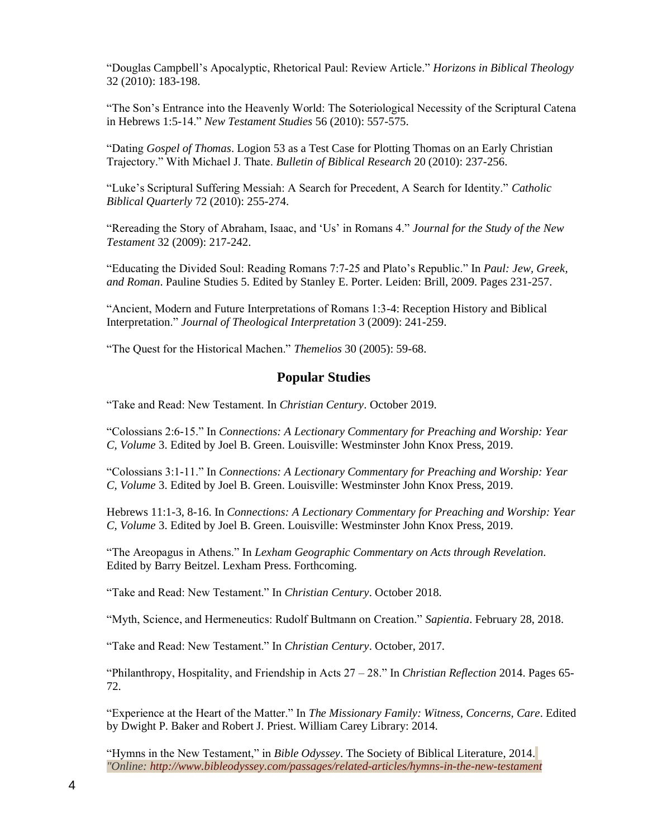"Douglas Campbell's Apocalyptic, Rhetorical Paul: Review Article." *Horizons in Biblical Theology* 32 (2010): 183-198.

"The Son's Entrance into the Heavenly World: The Soteriological Necessity of the Scriptural Catena in Hebrews 1:5-14." *New Testament Studies* 56 (2010): 557-575.

"Dating *Gospel of Thomas*. Logion 53 as a Test Case for Plotting Thomas on an Early Christian Trajectory." With Michael J. Thate. *Bulletin of Biblical Research* 20 (2010): 237-256.

"Luke's Scriptural Suffering Messiah: A Search for Precedent, A Search for Identity." *Catholic Biblical Quarterly* 72 (2010): 255-274.

"Rereading the Story of Abraham, Isaac, and 'Us' in Romans 4." *Journal for the Study of the New Testament* 32 (2009): 217-242.

"Educating the Divided Soul: Reading Romans 7:7-25 and Plato's Republic." In *Paul: Jew, Greek, and Roman*. Pauline Studies 5. Edited by Stanley E. Porter. Leiden: Brill, 2009. Pages 231-257.

"Ancient, Modern and Future Interpretations of Romans 1:3-4: Reception History and Biblical Interpretation." *Journal of Theological Interpretation* 3 (2009): 241-259.

"The Quest for the Historical Machen." *Themelios* 30 (2005): 59-68.

### **Popular Studies**

"Take and Read: New Testament. In *Christian Century*. October 2019.

"Colossians 2:6-15." In *Connections: A Lectionary Commentary for Preaching and Worship: Year C, Volume* 3. Edited by Joel B. Green. Louisville: Westminster John Knox Press, 2019.

"Colossians 3:1-11." In *Connections: A Lectionary Commentary for Preaching and Worship: Year C, Volume* 3. Edited by Joel B. Green. Louisville: Westminster John Knox Press, 2019.

Hebrews 11:1-3, 8-16. In *Connections: A Lectionary Commentary for Preaching and Worship: Year C, Volume* 3. Edited by Joel B. Green. Louisville: Westminster John Knox Press, 2019.

"The Areopagus in Athens." In *Lexham Geographic Commentary on Acts through Revelation*. Edited by Barry Beitzel. Lexham Press. Forthcoming.

"Take and Read: New Testament." In *Christian Century*. October 2018.

"Myth, Science, and Hermeneutics: Rudolf Bultmann on Creation." *Sapientia*. February 28, 2018.

"Take and Read: New Testament." In *Christian Century*. October, 2017.

"Philanthropy, Hospitality, and Friendship in Acts 27 – 28." In *Christian Reflection* 2014. Pages 65- 72.

"Experience at the Heart of the Matter." In *The Missionary Family: Witness, Concerns, Care*. Edited by Dwight P. Baker and Robert J. Priest. William Carey Library: 2014.

"Hymns in the New Testament," in *Bible Odyssey*. The Society of Biblical Literature, 2014. *"Online: <http://www.bibleodyssey.com/passages/related-articles/hymns-in-the-new-testament>*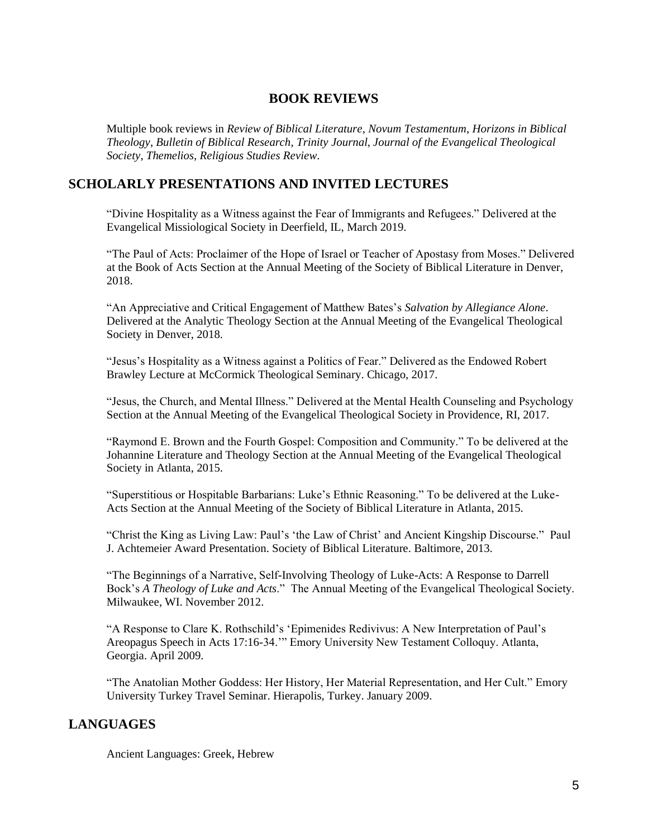## **BOOK REVIEWS**

Multiple book reviews in *Review of Biblical Literature*, *Novum Testamentum*, *Horizons in Biblical Theology*, *Bulletin of Biblical Research*, *Trinity Journal*, *Journal of the Evangelical Theological Society*, *Themelios, Religious Studies Review*.

## **SCHOLARLY PRESENTATIONS AND INVITED LECTURES**

"Divine Hospitality as a Witness against the Fear of Immigrants and Refugees." Delivered at the Evangelical Missiological Society in Deerfield, IL, March 2019.

"The Paul of Acts: Proclaimer of the Hope of Israel or Teacher of Apostasy from Moses." Delivered at the Book of Acts Section at the Annual Meeting of the Society of Biblical Literature in Denver, 2018.

"An Appreciative and Critical Engagement of Matthew Bates's *Salvation by Allegiance Alone*. Delivered at the Analytic Theology Section at the Annual Meeting of the Evangelical Theological Society in Denver, 2018.

"Jesus's Hospitality as a Witness against a Politics of Fear." Delivered as the Endowed Robert Brawley Lecture at McCormick Theological Seminary. Chicago, 2017.

"Jesus, the Church, and Mental Illness." Delivered at the Mental Health Counseling and Psychology Section at the Annual Meeting of the Evangelical Theological Society in Providence, RI, 2017.

"Raymond E. Brown and the Fourth Gospel: Composition and Community." To be delivered at the Johannine Literature and Theology Section at the Annual Meeting of the Evangelical Theological Society in Atlanta, 2015.

"Superstitious or Hospitable Barbarians: Luke's Ethnic Reasoning." To be delivered at the Luke-Acts Section at the Annual Meeting of the Society of Biblical Literature in Atlanta, 2015.

"Christ the King as Living Law: Paul's 'the Law of Christ' and Ancient Kingship Discourse." Paul J. Achtemeier Award Presentation. Society of Biblical Literature. Baltimore, 2013.

"The Beginnings of a Narrative, Self-Involving Theology of Luke-Acts: A Response to Darrell Bock's *A Theology of Luke and Acts*." The Annual Meeting of the Evangelical Theological Society. Milwaukee, WI. November 2012.

"A Response to Clare K. Rothschild's 'Epimenides Redivivus: A New Interpretation of Paul's Areopagus Speech in Acts 17:16-34.'" Emory University New Testament Colloquy. Atlanta, Georgia. April 2009.

"The Anatolian Mother Goddess: Her History, Her Material Representation, and Her Cult." Emory University Turkey Travel Seminar. Hierapolis, Turkey. January 2009.

# **LANGUAGES**

Ancient Languages: Greek, Hebrew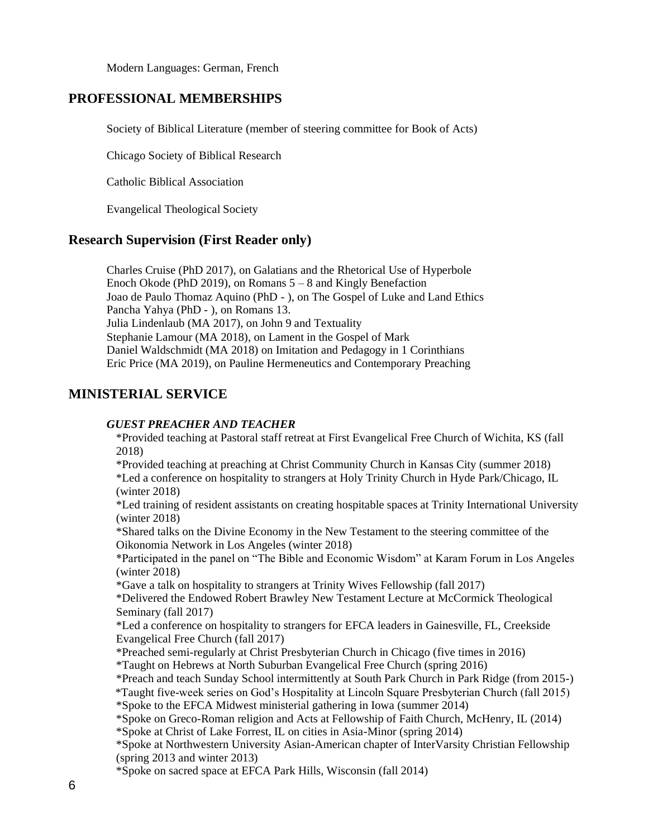Modern Languages: German, French

## **PROFESSIONAL MEMBERSHIPS**

Society of Biblical Literature (member of steering committee for Book of Acts)

Chicago Society of Biblical Research

Catholic Biblical Association

Evangelical Theological Society

## **Research Supervision (First Reader only)**

Charles Cruise (PhD 2017), on Galatians and the Rhetorical Use of Hyperbole Enoch Okode (PhD 2019), on Romans 5 – 8 and Kingly Benefaction Joao de Paulo Thomaz Aquino (PhD - ), on The Gospel of Luke and Land Ethics Pancha Yahya (PhD - ), on Romans 13. Julia Lindenlaub (MA 2017), on John 9 and Textuality Stephanie Lamour (MA 2018), on Lament in the Gospel of Mark Daniel Waldschmidt (MA 2018) on Imitation and Pedagogy in 1 Corinthians Eric Price (MA 2019), on Pauline Hermeneutics and Contemporary Preaching

# **MINISTERIAL SERVICE**

### *GUEST PREACHER AND TEACHER*

\*Provided teaching at Pastoral staff retreat at First Evangelical Free Church of Wichita, KS (fall 2018)

\*Provided teaching at preaching at Christ Community Church in Kansas City (summer 2018) \*Led a conference on hospitality to strangers at Holy Trinity Church in Hyde Park/Chicago, IL (winter 2018)

\*Led training of resident assistants on creating hospitable spaces at Trinity International University (winter 2018)

\*Shared talks on the Divine Economy in the New Testament to the steering committee of the Oikonomia Network in Los Angeles (winter 2018)

\*Participated in the panel on "The Bible and Economic Wisdom" at Karam Forum in Los Angeles (winter 2018)

\*Gave a talk on hospitality to strangers at Trinity Wives Fellowship (fall 2017)

\*Delivered the Endowed Robert Brawley New Testament Lecture at McCormick Theological Seminary (fall 2017)

\*Led a conference on hospitality to strangers for EFCA leaders in Gainesville, FL, Creekside Evangelical Free Church (fall 2017)

\*Preached semi-regularly at Christ Presbyterian Church in Chicago (five times in 2016)

\*Taught on Hebrews at North Suburban Evangelical Free Church (spring 2016)

\*Preach and teach Sunday School intermittently at South Park Church in Park Ridge (from 2015-)

\*Taught five-week series on God's Hospitality at Lincoln Square Presbyterian Church (fall 2015)

\*Spoke to the EFCA Midwest ministerial gathering in Iowa (summer 2014)

\*Spoke on Greco-Roman religion and Acts at Fellowship of Faith Church, McHenry, IL (2014) \*Spoke at Christ of Lake Forrest, IL on cities in Asia-Minor (spring 2014)

\*Spoke at Northwestern University Asian-American chapter of InterVarsity Christian Fellowship (spring 2013 and winter 2013)

\*Spoke on sacred space at EFCA Park Hills, Wisconsin (fall 2014)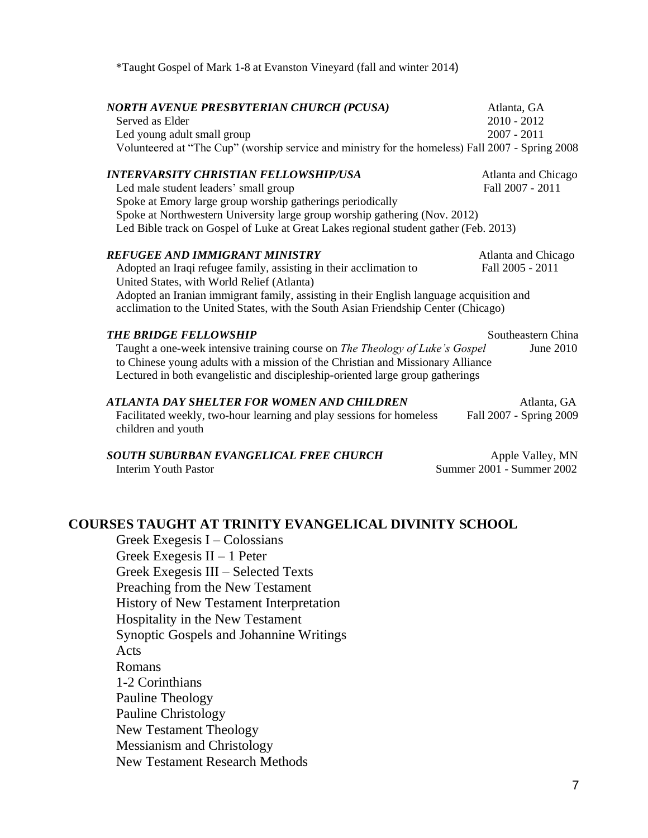\*Taught Gospel of Mark 1-8 at Evanston Vineyard (fall and winter 2014)

| <b>NORTH AVENUE PRESBYTERIAN CHURCH (PCUSA)</b><br>Served as Elder<br>Led young adult small group<br>Volunteered at "The Cup" (worship service and ministry for the homeless) Fall 2007 - Spring 2008                                                                                                                                       | Atlanta, GA<br>$2010 - 2012$<br>$2007 - 2011$ |  |
|---------------------------------------------------------------------------------------------------------------------------------------------------------------------------------------------------------------------------------------------------------------------------------------------------------------------------------------------|-----------------------------------------------|--|
| <b>INTERVARSITY CHRISTIAN FELLOWSHIP/USA</b><br>Led male student leaders' small group<br>Spoke at Emory large group worship gatherings periodically<br>Spoke at Northwestern University large group worship gathering (Nov. 2012)<br>Led Bible track on Gospel of Luke at Great Lakes regional student gather (Feb. 2013)                   | Atlanta and Chicago<br>Fall 2007 - 2011       |  |
| <b>REFUGEE AND IMMIGRANT MINISTRY</b><br>Adopted an Iraqi refugee family, assisting in their acclimation to<br>United States, with World Relief (Atlanta)<br>Adopted an Iranian immigrant family, assisting in their English language acquisition and<br>acclimation to the United States, with the South Asian Friendship Center (Chicago) | Atlanta and Chicago<br>Fall 2005 - 2011       |  |
| Southeastern China<br><b>THE BRIDGE FELLOWSHIP</b><br>Taught a one-week intensive training course on The Theology of Luke's Gospel<br>June 2010<br>to Chinese young adults with a mission of the Christian and Missionary Alliance<br>Lectured in both evangelistic and discipleship-oriented large group gatherings                        |                                               |  |
| <b>ATLANTA DAY SHELTER FOR WOMEN AND CHILDREN</b><br>Facilitated weekly, two-hour learning and play sessions for homeless<br>children and youth                                                                                                                                                                                             | Atlanta, GA<br>Fall 2007 - Spring 2009        |  |
| <b>SOUTH SUBURBAN EVANGELICAL FREE CHURCH</b><br>Interim Youth Pastor                                                                                                                                                                                                                                                                       | Apple Valley, MN<br>Summer 2001 - Summer 2002 |  |

# **COURSES TAUGHT AT TRINITY EVANGELICAL DIVINITY SCHOOL**

Greek Exegesis I – Colossians Greek Exegesis II – 1 Peter Greek Exegesis III – Selected Texts Preaching from the New Testament History of New Testament Interpretation Hospitality in the New Testament Synoptic Gospels and Johannine Writings Acts Romans 1-2 Corinthians Pauline Theology Pauline Christology New Testament Theology Messianism and Christology New Testament Research Methods